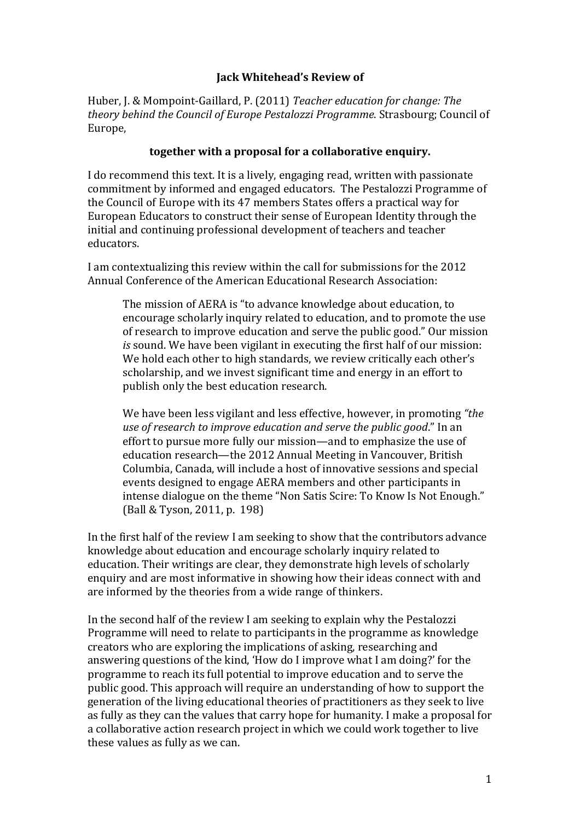# **Jack Whitehead's Review of**

Huber, J. & Mompoint-Gaillard, P. (2011) *Teacher education for change: The* theory behind the Council of Europe Pestalozzi Programme. Strasbourg; Council of Europe,

## together with a proposal for a collaborative enquiry.

I do recommend this text. It is a lively, engaging read, written with passionate commitment by informed and engaged educators. The Pestalozzi Programme of the Council of Europe with its 47 members States offers a practical way for European Educators to construct their sense of European Identity through the initial and continuing professional development of teachers and teacher educators.

I am contextualizing this review within the call for submissions for the 2012 Annual Conference of the American Educational Research Association:

The mission of AERA is "to advance knowledge about education, to encourage scholarly inquiry related to education, and to promote the use of research to improve education and serve the public good." Our mission *is* sound. We have been vigilant in executing the first half of our mission: We hold each other to high standards, we review critically each other's scholarship, and we invest significant time and energy in an effort to publish only the best education research.

We have been less vigilant and less effective, however, in promoting "the *use of research to improve education and serve the public good.*" In an effort to pursue more fully our mission—and to emphasize the use of education research—the 2012 Annual Meeting in Vancouver, British Columbia, Canada, will include a host of innovative sessions and special events designed to engage AERA members and other participants in intense dialogue on the theme "Non Satis Scire: To Know Is Not Enough." (Ball & Tyson, 2011, p. 198)

In the first half of the review I am seeking to show that the contributors advance knowledge about education and encourage scholarly inquiry related to education. Their writings are clear, they demonstrate high levels of scholarly enquiry and are most informative in showing how their ideas connect with and are informed by the theories from a wide range of thinkers.

In the second half of the review I am seeking to explain why the Pestalozzi Programme will need to relate to participants in the programme as knowledge creators who are exploring the implications of asking, researching and answering questions of the kind, 'How do I improve what I am doing?' for the programme to reach its full potential to improve education and to serve the public good. This approach will require an understanding of how to support the generation of the living educational theories of practitioners as they seek to live as fully as they can the values that carry hope for humanity. I make a proposal for a collaborative action research project in which we could work together to live these values as fully as we can.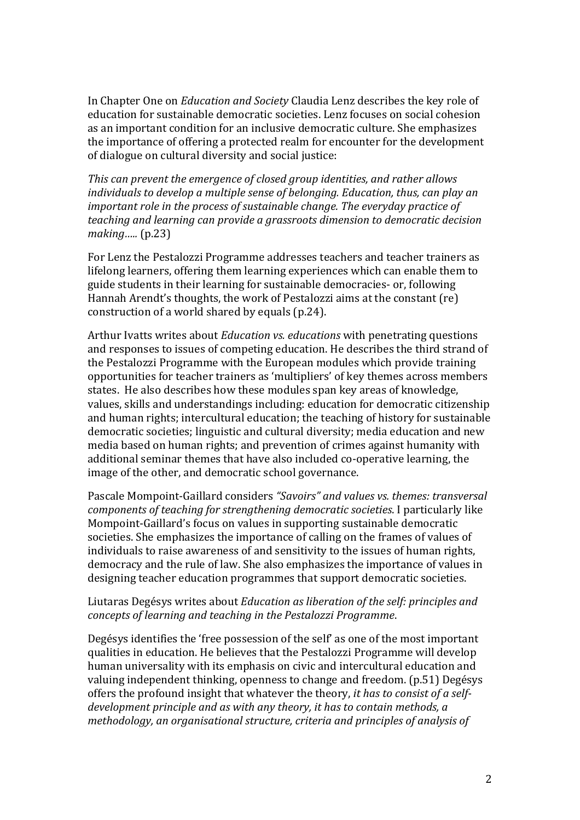In Chapter One on *Education and Society* Claudia Lenz describes the key role of education for sustainable democratic societies. Lenz focuses on social cohesion as an important condition for an inclusive democratic culture. She emphasizes the importance of offering a protected realm for encounter for the development of dialogue on cultural diversity and social justice:

*This'can'prevent'the'emergence'of'closed'group'identities,'and'rather'allows'* individuals to develop a multiple sense of belonging. Education, thus, can play an *important role in the process of sustainable change. The everyday practice of teaching'and'learning'can'provide'a'grassroots'dimension'to'democratic'decision' making…..* (p.23)

For Lenz the Pestalozzi Programme addresses teachers and teacher trainers as lifelong learners, offering them learning experiences which can enable them to guide students in their learning for sustainable democracies- or, following Hannah Arendt's thoughts, the work of Pestalozzi aims at the constant (re) construction of a world shared by equals  $(p.24)$ .

Arthur Ivatts writes about *Education vs. educations* with penetrating questions and responses to issues of competing education. He describes the third strand of the Pestalozzi Programme with the European modules which provide training opportunities for teacher trainers as 'multipliers' of key themes across members states. He also describes how these modules span key areas of knowledge. values, skills and understandings including: education for democratic citizenship and human rights; intercultural education; the teaching of history for sustainable democratic societies; linguistic and cultural diversity; media education and new media based on human rights; and prevention of crimes against humanity with additional seminar themes that have also included co-operative learning, the image of the other, and democratic school governance.

Pascale Mompoint-Gaillard considers *"Savoirs" and values vs. themes: transversal components of teaching for strengthening democratic societies.* I particularly like Mompoint-Gaillard's focus on values in supporting sustainable democratic societies. She emphasizes the importance of calling on the frames of values of individuals to raise awareness of and sensitivity to the issues of human rights, democracy and the rule of law. She also emphasizes the importance of values in designing teacher education programmes that support democratic societies.

#### Liutaras Degésys writes about *Education as liberation of the self: principles and concepts'of'learning'and'teaching'in'the'Pestalozzi'Programme*.!

Degésys identifies the 'free possession of the self' as one of the most important qualities in education. He believes that the Pestalozzi Programme will develop human universality with its emphasis on civic and intercultural education and valuing independent thinking, openness to change and freedom. (p.51) Degésys offers the profound insight that whatever the theory, *it has to consist of a self*development principle and as with any theory, it has to contain methods, a methodology, an organisational structure, criteria and principles of analysis of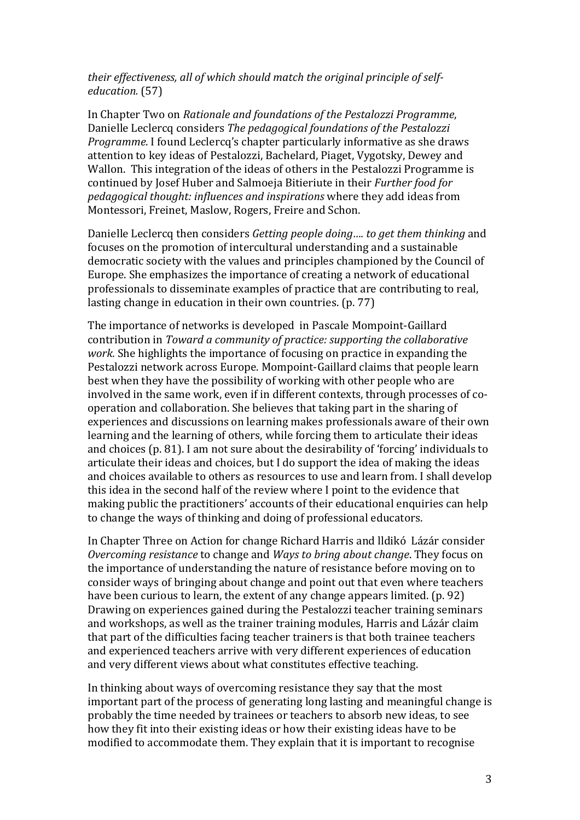## *their effectiveness, all of which should match the original principle of selfeducation.* (57)

In Chapter Two on *Rationale and foundations of the Pestalozzi Programme*, Danielle Leclercq considers *The pedagogical foundations of the Pestalozzi Programme*. I found Leclercq's chapter particularly informative as she draws attention to key ideas of Pestalozzi, Bachelard, Piaget, Vygotsky, Dewey and Wallon. This integration of the ideas of others in the Pestalozzi Programme is continued by Josef Huber and Salmoeja Bitieriute in their *Further food for pedagogical thought: influences and inspirations* where they add ideas from Montessori, Freinet, Maslow, Rogers, Freire and Schon.

Danielle Leclercq then considers *Getting people doing.... to get them thinking* and focuses on the promotion of intercultural understanding and a sustainable democratic society with the values and principles championed by the Council of Europe. She emphasizes the importance of creating a network of educational professionals to disseminate examples of practice that are contributing to real, lasting change in education in their own countries.  $(p. 77)$ 

The importance of networks is developed in Pascale Mompoint-Gaillard contribution in *Toward a community of practice: supporting the collaborative work.* She highlights the importance of focusing on practice in expanding the Pestalozzi network across Europe. Mompoint-Gaillard claims that people learn best when they have the possibility of working with other people who are involved in the same work, even if in different contexts, through processes of cooperation and collaboration. She believes that taking part in the sharing of experiences and discussions on learning makes professionals aware of their own learning and the learning of others, while forcing them to articulate their ideas and choices (p. 81). I am not sure about the desirability of 'forcing' individuals to articulate their ideas and choices, but I do support the idea of making the ideas and choices available to others as resources to use and learn from. I shall develop this idea in the second half of the review where I point to the evidence that making public the practitioners' accounts of their educational enquiries can help to change the ways of thinking and doing of professional educators.

In Chapter Three on Action for change Richard Harris and Ildikó Lázár consider *Overcoming resistance* to change and *Ways to bring about change*. They focus on the importance of understanding the nature of resistance before moving on to to consider ways of bringing about change and point out that even where teachers have been curious to learn, the extent of any change appears limited. (p. 92) Drawing on experiences gained during the Pestalozzi teacher training seminars and workshops, as well as the trainer training modules, Harris and Lázár claim that part of the difficulties facing teacher trainers is that both trainee teachers and experienced teachers arrive with very different experiences of education and very different views about what constitutes effective teaching.

In thinking about ways of overcoming resistance they say that the most important part of the process of generating long lasting and meaningful change is probably the time needed by trainees or teachers to absorb new ideas, to see how they fit into their existing ideas or how their existing ideas have to be modified to accommodate them. They explain that it is important to recognise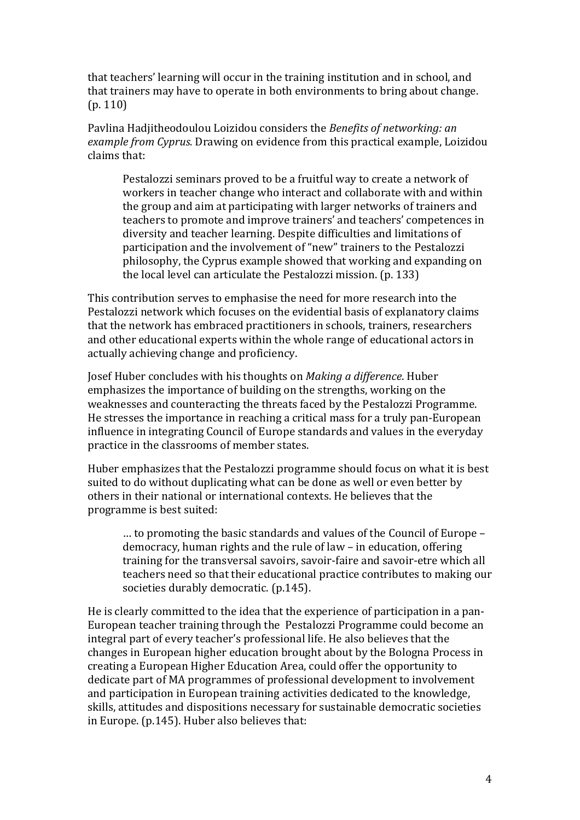that teachers' learning will occur in the training institution and in school, and that trainers may have to operate in both environments to bring about change.  $(p. 110)$ 

Pavlina Hadjitheodoulou Loizidou considers the *Benefits of networking: an example from Cyprus.* Drawing on evidence from this practical example, Loizidou claims that:

Pestalozzi seminars proved to be a fruitful way to create a network of workers in teacher change who interact and collaborate with and within the group and aim at participating with larger networks of trainers and teachers to promote and improve trainers' and teachers' competences in diversity and teacher learning. Despite difficulties and limitations of participation and the involvement of "new" trainers to the Pestalozzi philosophy, the Cyprus example showed that working and expanding on the local level can articulate the Pestalozzi mission. (p. 133)

This contribution serves to emphasise the need for more research into the Pestalozzi network which focuses on the evidential basis of explanatory claims that the network has embraced practitioners in schools, trainers, researchers and other educational experts within the whole range of educational actors in actually achieving change and proficiency.

Josef Huber concludes with his thoughts on *Making a difference*. Huber emphasizes the importance of building on the strengths, working on the weaknesses and counteracting the threats faced by the Pestalozzi Programme. He stresses the importance in reaching a critical mass for a truly pan-European influence in integrating Council of Europe standards and values in the everyday practice in the classrooms of member states.

Huber emphasizes that the Pestalozzi programme should focus on what it is best suited to do without duplicating what can be done as well or even better by others in their national or international contexts. He believes that the programme is best suited:

 $\ldots$  to promoting the basic standards and values of the Council of Europe – democracy, human rights and the rule of law – in education, offering training for the transversal savoirs, savoir-faire and savoir-etre which all teachers need so that their educational practice contributes to making our societies durably democratic. (p.145).

He is clearly committed to the idea that the experience of participation in a pan-European teacher training through the Pestalozzi Programme could become an integral part of every teacher's professional life. He also believes that the changes in European higher education brought about by the Bologna Process in creating a European Higher Education Area, could offer the opportunity to dedicate part of MA programmes of professional development to involvement and participation in European training activities dedicated to the knowledge, skills. attitudes and dispositions necessary for sustainable democratic societies in Europe. (p.145). Huber also believes that: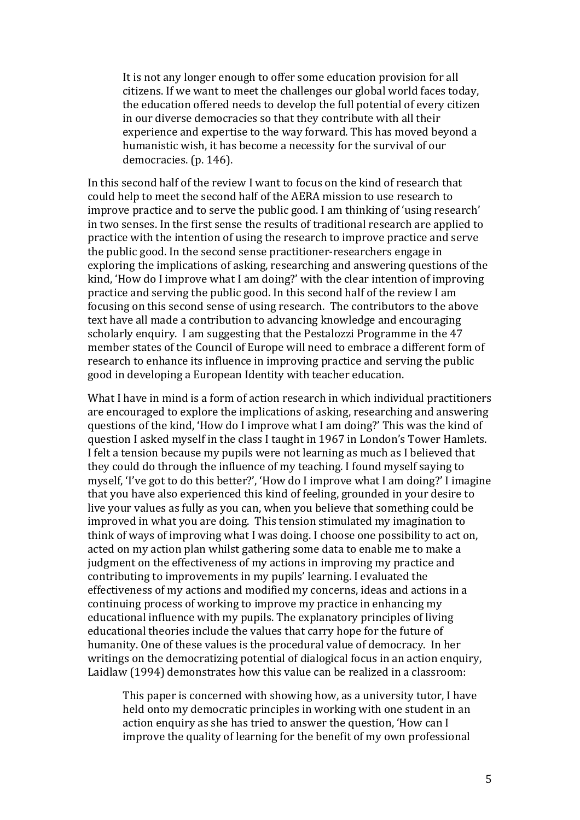It is not any longer enough to offer some education provision for all citizens. If we want to meet the challenges our global world faces today, the education offered needs to develop the full potential of every citizen in our diverse democracies so that they contribute with all their experience and expertise to the way forward. This has moved beyond a humanistic wish, it has become a necessity for the survival of our democracies. (p. 146).

In this second half of the review I want to focus on the kind of research that could help to meet the second half of the AERA mission to use research to improve practice and to serve the public good. I am thinking of 'using research' in two senses. In the first sense the results of traditional research are applied to practice with the intention of using the research to improve practice and serve the public good. In the second sense practitioner-researchers engage in exploring the implications of asking, researching and answering questions of the kind, 'How do I improve what I am doing?' with the clear intention of improving practice and serving the public good. In this second half of the review I am focusing on this second sense of using research. The contributors to the above text have all made a contribution to advancing knowledge and encouraging scholarly enquiry. I am suggesting that the Pestalozzi Programme in the 47 member states of the Council of Europe will need to embrace a different form of research to enhance its influence in improving practice and serving the public good in developing a European Identity with teacher education.

What I have in mind is a form of action research in which individual practitioners are encouraged to explore the implications of asking, researching and answering questions of the kind, 'How do I improve what I am doing?' This was the kind of question I asked myself in the class I taught in 1967 in London's Tower Hamlets. I felt a tension because my pupils were not learning as much as I believed that they could do through the influence of my teaching. I found myself saying to myself, 'I've got to do this better?', 'How do I improve what I am doing?' I imagine that you have also experienced this kind of feeling, grounded in your desire to live your values as fully as you can, when you believe that something could be improved in what you are doing. This tension stimulated my imagination to think of ways of improving what I was doing. I choose one possibility to act on, acted on my action plan whilst gathering some data to enable me to make a judgment on the effectiveness of my actions in improving my practice and contributing to improvements in my pupils' learning. I evaluated the effectiveness of my actions and modified my concerns, ideas and actions in a continuing process of working to improve my practice in enhancing my educational influence with my pupils. The explanatory principles of living educational theories include the values that carry hope for the future of humanity. One of these values is the procedural value of democracy. In her writings on the democratizing potential of dialogical focus in an action enquiry, Laidlaw (1994) demonstrates how this value can be realized in a classroom:

This paper is concerned with showing how, as a university tutor, I have held onto my democratic principles in working with one student in an action enquiry as she has tried to answer the question, 'How can I improve the quality of learning for the benefit of my own professional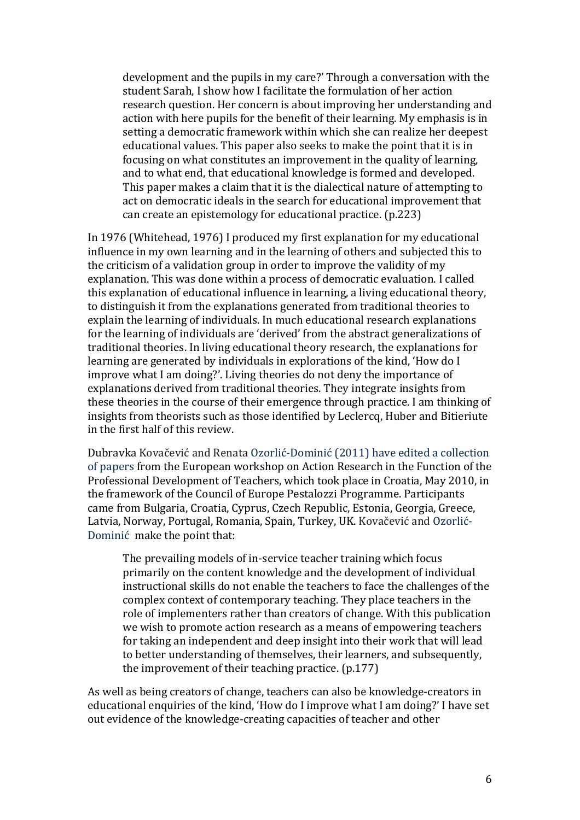development and the pupils in my care?' Through a conversation with the student Sarah, I show how I facilitate the formulation of her action research question. Her concern is about improving her understanding and action with here pupils for the benefit of their learning. My emphasis is in setting a democratic framework within which she can realize her deepest educational values. This paper also seeks to make the point that it is in focusing on what constitutes an improvement in the quality of learning, and to what end, that educational knowledge is formed and developed. This paper makes a claim that it is the dialectical nature of attempting to act on democratic ideals in the search for educational improvement that can create an epistemology for educational practice. (p.223)

In 1976 (Whitehead, 1976) I produced my first explanation for my educational influence in my own learning and in the learning of others and subjected this to the criticism of a validation group in order to improve the validity of my explanation. This was done within a process of democratic evaluation. I called this explanation of educational influence in learning, a living educational theory, to distinguish it from the explanations generated from traditional theories to explain the learning of individuals. In much educational research explanations for the learning of individuals are 'derived' from the abstract generalizations of traditional theories. In living educational theory research, the explanations for learning are generated by individuals in explorations of the kind, 'How do I improve what I am doing?'. Living theories do not deny the importance of explanations derived from traditional theories. They integrate insights from these theories in the course of their emergence through practice. I am thinking of insights from theorists such as those identified by Leclercq, Huber and Bitieriute in the first half of this review.

Dubravka Kovačević and Renata Ozorlić-Dominić (2011) have edited a collection of papers from the European workshop on Action Research in the Function of the Professional Development of Teachers, which took place in Croatia, May 2010, in the framework of the Council of Europe Pestalozzi Programme. Participants came from Bulgaria, Croatia, Cyprus, Czech Republic, Estonia, Georgia, Greece, I Latvia, Norway, Portugal, Romania, Spain, Turkey, UK. Kovačević and Ozorlić-Dominić make the point that:

The prevailing models of in-service teacher training which focus primarily on the content knowledge and the development of individual instructional skills do not enable the teachers to face the challenges of the complex context of contemporary teaching. They place teachers in the role of implementers rather than creators of change. With this publication we wish to promote action research as a means of empowering teachers for taking an independent and deep insight into their work that will lead to better understanding of themselves, their learners, and subsequently, the improvement of their teaching practice.  $(p.177)$ 

As well as being creators of change, teachers can also be knowledge-creators in educational enquiries of the kind, 'How do I improve what I am doing?' I have set out evidence of the knowledge-creating capacities of teacher and other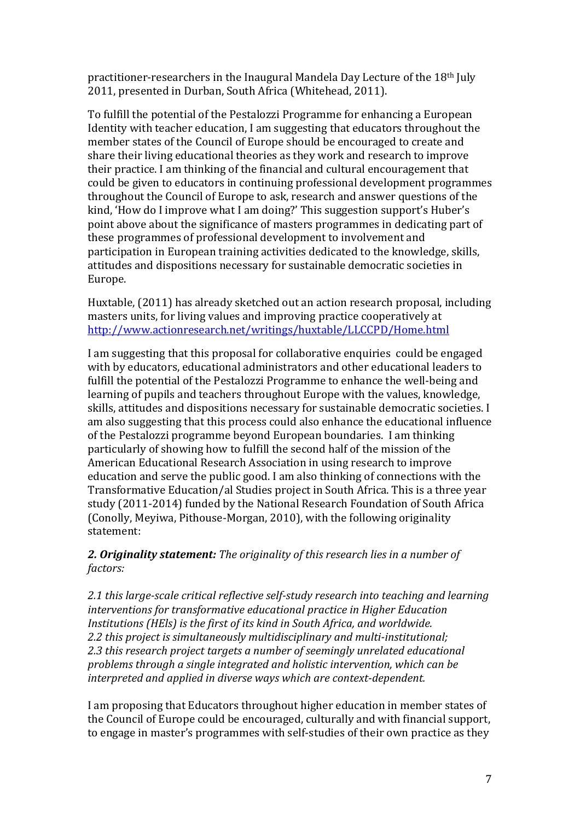practitioner-researchers in the Inaugural Mandela Day Lecture of the 18<sup>th</sup> July 2011, presented in Durban, South Africa (Whitehead, 2011).

To fulfill the potential of the Pestalozzi Programme for enhancing a European Identity with teacher education, I am suggesting that educators throughout the member states of the Council of Europe should be encouraged to create and share their living educational theories as they work and research to improve their practice. I am thinking of the financial and cultural encouragement that could be given to educators in continuing professional development programmes throughout the Council of Europe to ask, research and answer questions of the kind. 'How do I improve what I am doing?' This suggestion support's Huber's point above about the significance of masters programmes in dedicating part of these programmes of professional development to involvement and participation in European training activities dedicated to the knowledge, skills, attitudes and dispositions necessary for sustainable democratic societies in Europe.

Huxtable, (2011) has already sketched out an action research proposal, including masters units, for living values and improving practice cooperatively at http://www.actionresearch.net/writings/huxtable/LLCCPD/Home.html

I am suggesting that this proposal for collaborative enquiries could be engaged with by educators, educational administrators and other educational leaders to fulfill the potential of the Pestalozzi Programme to enhance the well-being and learning of pupils and teachers throughout Europe with the values, knowledge, skills, attitudes and dispositions necessary for sustainable democratic societies. I am also suggesting that this process could also enhance the educational influence of the Pestalozzi programme beyond European boundaries. I am thinking particularly of showing how to fulfill the second half of the mission of the American Educational Research Association in using research to improve education and serve the public good. I am also thinking of connections with the Transformative Education/al Studies project in South Africa. This is a three year study (2011-2014) funded by the National Research Foundation of South Africa (Conolly, Meyiwa, Pithouse-Morgan, 2010), with the following originality statement:

**2. Originality statement:** The originality of this research lies in a number of *factors:'*

2.1 this large-scale critical reflective self-study research into teaching and learning *interventions'for'transformative'educational'practice'in'Higher'Education' Institutions (HEls) is the first of its kind in South Africa, and worldwide.* 2.2 this project is simultaneously multidisciplinary and multi-institutional; 2.3 this research project targets a number of seemingly unrelated educational *problems'through'a'single'integrated'and'holistic'intervention,'which'can'be' interpreted and applied in diverse ways which are context-dependent.* 

I am proposing that Educators throughout higher education in member states of the Council of Europe could be encouraged, culturally and with financial support, to engage in master's programmes with self-studies of their own practice as they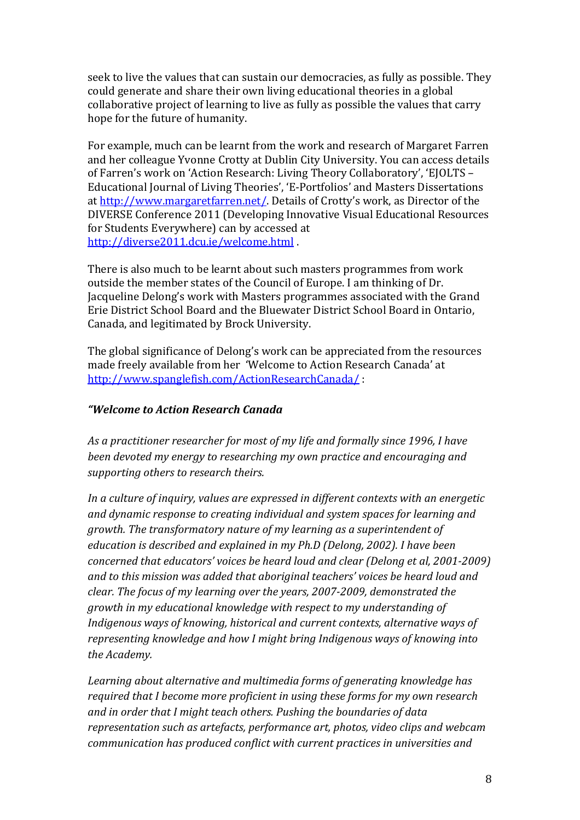seek to live the values that can sustain our democracies, as fully as possible. They could generate and share their own living educational theories in a global collaborative project of learning to live as fully as possible the values that carry hope for the future of humanity.

For example, much can be learnt from the work and research of Margaret Farren and her colleague Yvonne Crotty at Dublin City University. You can access details of Farren's work on 'Action Research: Living Theory Collaboratory', 'EJOLTS – Educational Journal of Living Theories', 'E-Portfolios' and Masters Dissertations at http://www.margaretfarren.net/. Details of Crotty's work, as Director of the DIVERSE Conference 2011 (Developing Innovative Visual Educational Resources for Students Everywhere) can by accessed at http://diverse2011.dcu.ie/welcome.html.

There is also much to be learnt about such masters programmes from work outside the member states of the Council of Europe. I am thinking of Dr. Jacqueline Delong's work with Masters programmes associated with the Grand Erie District School Board and the Bluewater District School Board in Ontario, Canada, and legitimated by Brock University.

The global significance of Delong's work can be appreciated from the resources made freely available from her 'Welcome to Action Research Canada' at http://www.spanglefish.com/ActionResearchCanada/!:

## *"Welcome to Action Research Canada*

As a practitioner researcher for most of my life and formally since 1996, I have *been'devoted'my'energy'to'researching'my'own'practice'and'encouraging'and' supporting'others'to'research'theirs.*

In a culture of inquiry, values are expressed in different contexts with an energetic *and'dynamic'response'to'creating'individual'and'system'spaces'for'learning'and' growth.'The'transformatory'nature'of'my'learning'as'a'superintendent'of' education is described and explained in my Ph.D (Delong, 2002). I have been concerned that educators' voices be heard loud and clear (Delong et al, 2001-2009) and'to'this'mission'was'added'that'aboriginal'teachers''voices'be'heard'loud'and' clear. The focus of my learning over the years, 2007-2009, demonstrated the growth'in'my'educational'knowledge'with'respect'to'my'understanding'of'* Indigenous ways of knowing, historical and current contexts, alternative ways of *representing'knowledge'and'how'I'might'bring'Indigenous'ways'of'knowing'into' the'Academy.*

Learning about alternative and multimedia forms of generating knowledge has *required'that'I'become'more'proficient'in'using'these'forms'for'my'own'research' and'in'order'that'I'might'teach'others.'Pushing'the'boundaries'of'data' representation'such'as'artefacts,'performance'art,'photos,'video'clips'and'webcam' communication'has'produced'conflict'with'current'practices'in'universities'and'*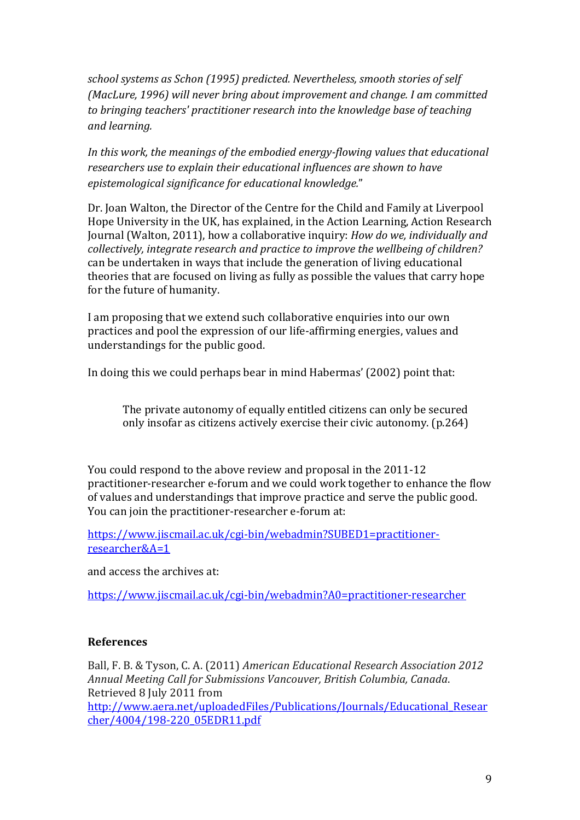*school'systems'as'Schon'(1995)'predicted.'Nevertheless,'smooth'stories'of'self' (MacLure,'1996)'will'never'bring'about'improvement'and'change.'I'am'committed' to'bringing'teachers''practitioner'research'into'the'knowledge base'of'teaching' and'learning.'*

*In this work, the meanings of the embodied energy-flowing values that educational researchers'use'to'explain'their'educational'influences'are'shown'to'have' epistemological'significance'for'educational'knowledge.*"

Dr. Joan Walton, the Director of the Centre for the Child and Family at Liverpool Hope University in the UK, has explained, in the Action Learning, Action Research Journal (Walton, 2011), how a collaborative inquiry: *How do we, individually and collectively,'integrate'research'and'practice'to'improve'the'wellbeing'of'children?'* can be undertaken in ways that include the generation of living educational theories that are focused on living as fully as possible the values that carry hope for the future of humanity.

I am proposing that we extend such collaborative enquiries into our own practices and pool the expression of our life-affirming energies, values and understandings for the public good.

In doing this we could perhaps bear in mind Habermas' (2002) point that:

The private autonomy of equally entitled citizens can only be secured only insofar as citizens actively exercise their civic autonomy. (p.264)

You could respond to the above review and proposal in the 2011-12 practitioner-researcher e-forum and we could work together to enhance the flow of values and understandings that improve practice and serve the public good. You can join the practitioner-researcher e-forum at:

https://www.jiscmail.ac.uk/cgi-bin/webadmin?SUBED1=practitionerresearcher&A=1

and access the archives at:

https://www.jiscmail.ac.uk/cgi-bin/webadmin?A0=practitioner-researcher

#### **References**

Ball, F. B. & Tyson, C. A. (2011) *American Educational Research Association 2012 Annual'Meeting'Call'for'Submissions'Vancouver,'British'Columbia,'Canada*.! Retrieved 8 July 2011 from http://www.aera.net/uploadedFiles/Publications/Journals/Educational\_Resear cher/4004/198-220\_05EDR11.pdf